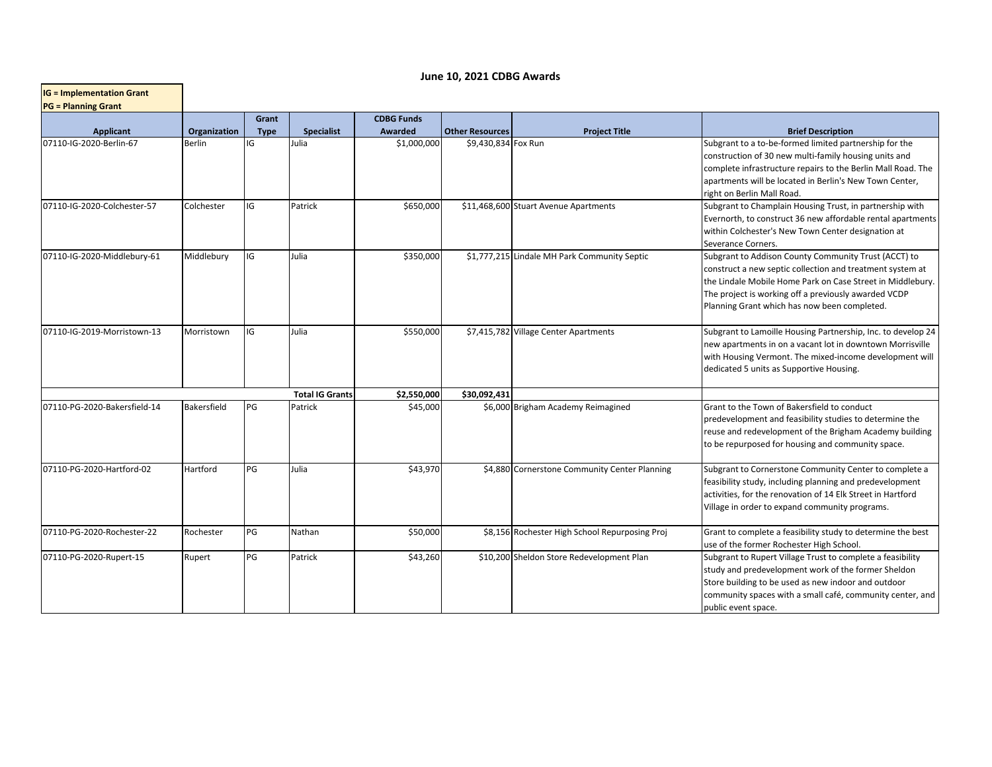|  |  |  | June 10, 2021 CDBG Awards |
|--|--|--|---------------------------|
|--|--|--|---------------------------|

| <b>IG = Implementation Grant</b> |              |                      |                        |                              |                        |                                                |                                                                                                                                                                                                                                                                                         |
|----------------------------------|--------------|----------------------|------------------------|------------------------------|------------------------|------------------------------------------------|-----------------------------------------------------------------------------------------------------------------------------------------------------------------------------------------------------------------------------------------------------------------------------------------|
| <b>PG = Planning Grant</b>       |              |                      |                        |                              |                        |                                                |                                                                                                                                                                                                                                                                                         |
| <b>Applicant</b>                 | Organization | Grant<br><b>Type</b> | <b>Specialist</b>      | <b>CDBG Funds</b><br>Awarded | <b>Other Resources</b> | <b>Project Title</b>                           | <b>Brief Description</b>                                                                                                                                                                                                                                                                |
| 07110-IG-2020-Berlin-67          | Berlin       | IG                   | Julia                  | \$1,000,000                  | \$9,430,834 Fox Run    |                                                | Subgrant to a to-be-formed limited partnership for the<br>construction of 30 new multi-family housing units and<br>complete infrastructure repairs to the Berlin Mall Road. The<br>apartments will be located in Berlin's New Town Center,<br>right on Berlin Mall Road.                |
| 07110-IG-2020-Colchester-57      | Colchester   | IG                   | Patrick                | \$650,000                    |                        | \$11,468,600 Stuart Avenue Apartments          | Subgrant to Champlain Housing Trust, in partnership with<br>Evernorth, to construct 36 new affordable rental apartments<br>within Colchester's New Town Center designation at<br>Severance Corners.                                                                                     |
| 07110-IG-2020-Middlebury-61      | Middlebury   | IG                   | Julia                  | \$350,000                    |                        | \$1,777,215 Lindale MH Park Community Septic   | Subgrant to Addison County Community Trust (ACCT) to<br>construct a new septic collection and treatment system at<br>the Lindale Mobile Home Park on Case Street in Middlebury.<br>The project is working off a previously awarded VCDP<br>Planning Grant which has now been completed. |
| 07110-IG-2019-Morristown-13      | Morristown   | IG                   | Julia                  | \$550,000                    |                        | \$7,415,782 Village Center Apartments          | Subgrant to Lamoille Housing Partnership, Inc. to develop 24<br>new apartments in on a vacant lot in downtown Morrisville<br>with Housing Vermont. The mixed-income development will<br>dedicated 5 units as Supportive Housing.                                                        |
|                                  |              |                      | <b>Total IG Grants</b> | \$2,550,000                  | \$30,092,431           |                                                |                                                                                                                                                                                                                                                                                         |
| 07110-PG-2020-Bakersfield-14     | Bakersfield  | PG                   | Patrick                | \$45,000                     |                        | \$6,000 Brigham Academy Reimagined             | Grant to the Town of Bakersfield to conduct<br>predevelopment and feasibility studies to determine the<br>reuse and redevelopment of the Brigham Academy building<br>to be repurposed for housing and community space.                                                                  |
| 07110-PG-2020-Hartford-02        | Hartford     | PG                   | Julia                  | \$43,970                     |                        | \$4,880 Cornerstone Community Center Planning  | Subgrant to Cornerstone Community Center to complete a<br>feasibility study, including planning and predevelopment<br>activities, for the renovation of 14 Elk Street in Hartford<br>Village in order to expand community programs.                                                     |
| 07110-PG-2020-Rochester-22       | Rochester    | PG                   | Nathan                 | \$50,000                     |                        | \$8,156 Rochester High School Repurposing Proj | Grant to complete a feasibility study to determine the best<br>use of the former Rochester High School.                                                                                                                                                                                 |
| 07110-PG-2020-Rupert-15          | Rupert       | PG                   | Patrick                | \$43,260                     |                        | \$10,200 Sheldon Store Redevelopment Plan      | Subgrant to Rupert Village Trust to complete a feasibility<br>study and predevelopment work of the former Sheldon<br>Store building to be used as new indoor and outdoor<br>community spaces with a small café, community center, and<br>public event space.                            |